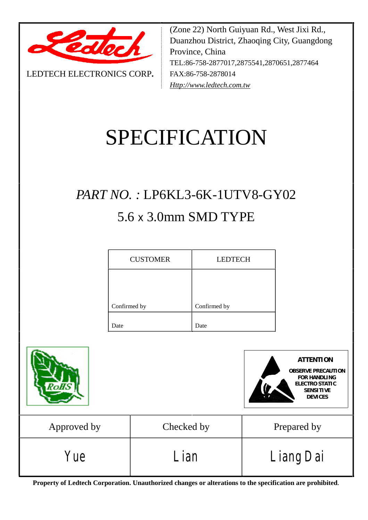

LEDTECH ELECTRONICS CORP**.**

(Zone 22) North Guiyuan Rd., West Jixi Rd., Duanzhou District, Zhaoqing City, Guangdong Province, China TEL:86-758-2877017,2875541,2870651,2877464 FAX:86-758-2878014 *[Http://www.ledtech.com.tw](http://www.ledtech.com.tw)*

# SPECIFICATION

## *PART NO. :* LP6KL3-6K-1UTV8-GY02 5.6 x 3.0mm SMD TYPE

| <b>CUSTOMER</b> | <b>LEDTECH</b> |
|-----------------|----------------|
|                 |                |
| Confirmed by    | Confirmed by   |
|                 |                |
| Date            | Date           |





| Approved by       | Checked by  | Prepared by             |
|-------------------|-------------|-------------------------|
| <b><i>Yue</i></b> | <i>Lian</i> | <i><b>Liang Dai</b></i> |

**Property of Ledtech Corporation. Unauthorized changes or alterations to the specification are prohibited***.*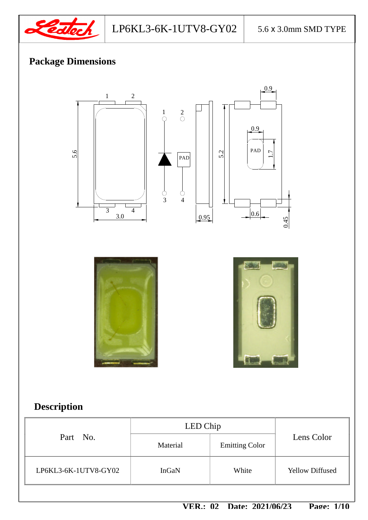

LP6KL3-6K-1UTV8-GY02 5.6 x 3.0mm SMD TYPE

## **Package Dimensions**



## **Description**

|                      | LED Chip |                       |                        |
|----------------------|----------|-----------------------|------------------------|
| Part No.             | Material | <b>Emitting Color</b> | Lens Color             |
| LP6KL3-6K-1UTV8-GY02 | InGaN    | White                 | <b>Yellow Diffused</b> |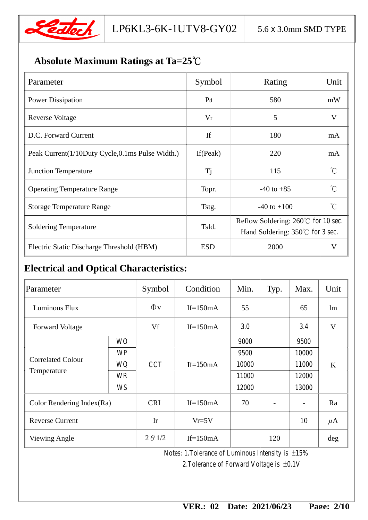

## **Absolute Maximum Ratings at Ta=25**℃

| Parameter                                       | Symbol         | Rating                                        | Unit             |  |
|-------------------------------------------------|----------------|-----------------------------------------------|------------------|--|
| <b>Power Dissipation</b>                        | P <sub>d</sub> | 580                                           | mW               |  |
| Reverse Voltage                                 | $V_r$          | 5                                             | V                |  |
| D.C. Forward Current                            | If             | 180                                           | mA               |  |
| Peak Current(1/10Duty Cycle,0.1ms Pulse Width.) | If $(Peak)$    | 220                                           | mA               |  |
| <b>Junction Temperature</b>                     | <b>Tj</b>      | 115                                           | $\hat{C}$        |  |
| <b>Operating Temperature Range</b>              | Topr.          | $-40$ to $+85$                                | $^{\circ}C$      |  |
| <b>Storage Temperature Range</b>                | Tstg.          | $-40$ to $+100$                               | $\gamma^{\circ}$ |  |
|                                                 | Tsld.          | Reflow Soldering: $260^{\circ}$ C for 10 sec. |                  |  |
| <b>Soldering Temperature</b>                    |                | Hand Soldering: $350^{\circ}$ C for 3 sec.    |                  |  |
| Electric Static Discharge Threshold (HBM)       | <b>ESD</b>     | 2000                                          | V                |  |

## **Electrical and Optical Characteristics:**

| Parameter                    |           | Symbol         | Condition   | Min.         | Typ. | Max.                     | Unit    |
|------------------------------|-----------|----------------|-------------|--------------|------|--------------------------|---------|
| Luminous Flux                |           | $\Phi$ v       | If= $150mA$ | 55           |      | 65                       | lm      |
| <b>Forward Voltage</b>       |           | Vf             | If= $150mA$ | 30           |      | 34                       | V       |
|                              | <b>WO</b> |                | If= $150mA$ | 9000         |      | <b>9500</b>              | K       |
|                              | <b>WP</b> |                |             | 9500         |      | <b>10000</b>             |         |
| <b>Correlated Colour</b>     | WQ        | <b>CCT</b>     |             | 10000        |      | <b>11000</b>             |         |
| Temperature                  | <b>WR</b> |                |             | <b>11000</b> |      | <b>12000</b>             |         |
|                              | <b>WS</b> |                |             | <b>12000</b> |      | <b>13000</b>             |         |
| Color Rendering Index $(Ra)$ |           | <b>CRI</b>     | If= $150mA$ | 70           |      | $\overline{\phantom{a}}$ | Ra      |
| <b>Reverse Current</b>       |           | Ir             | $Vr=5V$     |              |      | 10                       | $\mu$ A |
| <b>Viewing Angle</b>         |           | $2 \theta$ 1/2 | If= $150mA$ |              | 120  |                          | deg     |

Notes: 1.Tolerance of Luminous Intensity is ±15%

2.Tolerance of Forward Voltage is ±0.1V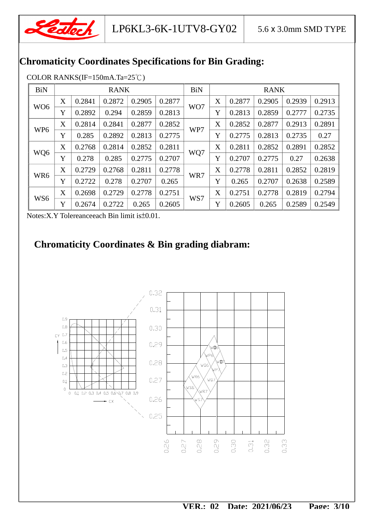

## **Chromaticity Coordinates Specifications for Bin Grading:**

| <b>BiN</b>      | <b>RANK</b> |        | <b>BiN</b> |        |        | <b>RANK</b> |   |        |        |        |        |
|-----------------|-------------|--------|------------|--------|--------|-------------|---|--------|--------|--------|--------|
|                 | X           | 0.2841 | 0.2872     | 0.2905 | 0.2877 |             | X | 0.2877 | 0.2905 | 0.2939 | 0.2913 |
| WO <sub>6</sub> | Y           | 0.2892 | 0.294      | 0.2859 | 0.2813 | WO7         | Y | 0.2813 | 0.2859 | 0.2777 | 0.2735 |
|                 | X           | 0.2814 | 0.2841     | 0.2877 | 0.2852 |             | X | 0.2852 | 0.2877 | 0.2913 | 0.2891 |
| WP <sub>6</sub> | Y           | 0.285  | 0.2892     | 0.2813 | 0.2775 | WP7         | Y | 0.2775 | 0.2813 | 0.2735 | 0.27   |
|                 | X           | 0.2768 | 0.2814     | 0.2852 | 0.2811 |             | X | 0.2811 | 0.2852 | 0.2891 | 0.2852 |
| WQ6             | Y           | 0.278  | 0.285      | 0.2775 | 0.2707 | WQ7         | Y | 0.2707 | 0.2775 | 0.27   | 0.2638 |
|                 | X           | 0.2729 | 0.2768     | 0.2811 | 0.2778 |             | X | 0.2778 | 0.2811 | 0.2852 | 0.2819 |
| WR6             | Y           | 0.2722 | 0.278      | 0.2707 | 0.265  | WR7         | Y | 0.265  | 0.2707 | 0.2638 | 0.2589 |
|                 | X           | 0.2698 | 0.2729     | 0.2778 | 0.2751 |             | X | 0.2751 | 0.2778 | 0.2819 | 0.2794 |
| WS6             | Y           | 0.2674 | 0.2722     | 0.265  | 0.2605 | WS7         | Y | 0.2605 | 0.265  | 0.2589 | 0.2549 |

COLOR RANKS(IF=150mA.Ta=25℃)

Notes:X.Y Tolereanceeach Bin limit is±0.01.

## **Chromaticity Coordinates & Bin grading diabram:**

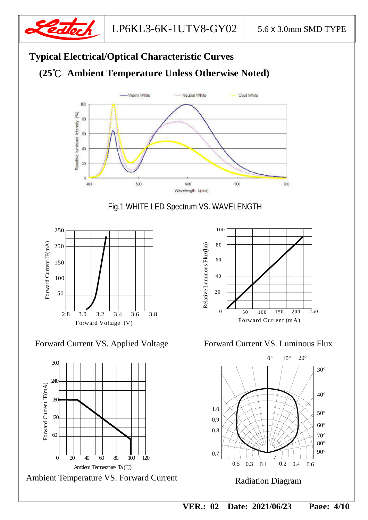



Fig.1 WHITE LED Spectrum VS. WAVELENGTH



Forward Current VS. Applied Voltage Forward Current VS. Luminous Flux



Ambient Temperature VS. Forward Current



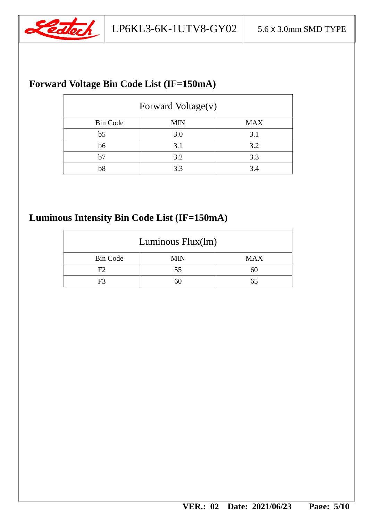

## **Forward Voltage Bin Code List (IF=150mA)**

| Forward Voltage(v) |            |            |  |  |
|--------------------|------------|------------|--|--|
| <b>Bin Code</b>    | <b>MIN</b> | <b>MAX</b> |  |  |
| b <sub>5</sub>     | 3.0        | 3.1        |  |  |
| b6                 | 3.1        | 3.2        |  |  |
| b7                 | 3.2        | 3.3        |  |  |
| b <sub>8</sub>     | 3.3        | 3.4        |  |  |

## **Luminous Intensity Bin Code List (IF=150mA)**

| Luminous $Flux(lm)$ |     |     |  |  |
|---------------------|-----|-----|--|--|
| <b>Bin Code</b>     | MIN | MAX |  |  |
| F2                  | 55  | ы,  |  |  |
| F3                  |     |     |  |  |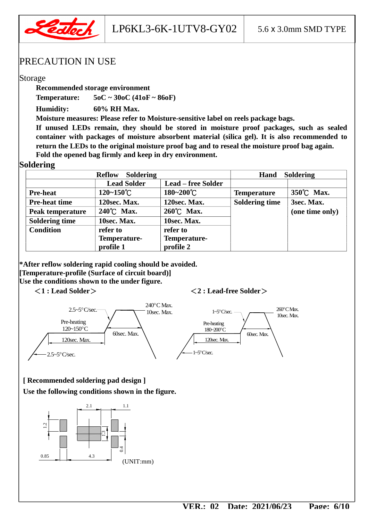

LP6KL3-6K-1UTV8-GY02  $\vert$  5.6 x 3.0mm SMD TYPE

#### PRECAUTION IN USE

#### Storage

**Recommended storage environment** 

**Temperature: 5oC ~ 30oC (41oF ~ 86oF)** 

**Humidity: 60% RH Max.** 

**Moisture measures: Please refer to Moisture-sensitive label on reels package bags.** 

**If unused LEDs remain, they should be stored in moisture proof packages, such as sealed container with packages of moisture absorbent material (silica gel). It is also recommended to return the LEDs to the original moisture proof bag and to reseal the moisture proof bag again. Fold the opened bag firmly and keep in dry environment.** 

#### **Soldering**

| Soldering<br><b>Reflow</b> |                       |                           | <b>Soldering</b><br>Hand |                 |  |
|----------------------------|-----------------------|---------------------------|--------------------------|-----------------|--|
|                            | <b>Lead Solder</b>    | <b>Lead – free Solder</b> |                          |                 |  |
| <b>Pre-heat</b>            | $120 - 150^{\circ}$ C | 180~200°C                 | <b>Temperature</b>       | 350°C Max.      |  |
| <b>Pre-heat time</b>       | 120sec. Max.          | 120sec. Max.              | <b>Soldering time</b>    | 3sec. Max.      |  |
| Peak temperature           | 240°C Max.            | 260°C Max.                |                          | (one time only) |  |
| <b>Soldering time</b>      | 10sec. Max.           | 10sec. Max.               |                          |                 |  |
| <b>Condition</b>           | refer to              | refer to                  |                          |                 |  |
|                            | Temperature-          | Temperature-              |                          |                 |  |
|                            | profile 1             | profile 2                 |                          |                 |  |

**\*After reflow soldering rapid cooling should be avoided. [Temperature-profile (Surface of circuit board)] Use the conditions shown to the under figure.** 

#### <**1 : Lead Solder**><**2 : Lead-free Solder**>



#### **[ Recommended soldering pad design ]**

**Use the following conditions shown in the figure.**

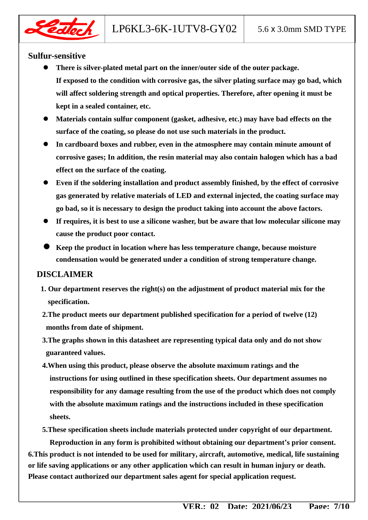

#### **Sulfur-sensitive**

- **There is silver-plated metal part on the inner/outer side of the outer package. If exposed to the condition with corrosive gas, the silver plating surface may go bad, which will affect soldering strength and optical properties. Therefore, after opening it must be kept in a sealed container, etc.**
- **Materials contain sulfur component (gasket, adhesive, etc.) may have bad effects on the surface of the coating, so please do not use such materials in the product.**
- **In cardboard boxes and rubber, even in the atmosphere may contain minute amount of corrosive gases; In addition, the resin material may also contain halogen which has a bad effect on the surface of the coating.**
- **Even if the soldering installation and product assembly finished, by the effect of corrosive gas generated by relative materials of LED and external injected, the coating surface may go bad, so it is necessary to design the product taking into account the above factors.**
- **If requires, it is best to use a silicone washer, but be aware that low molecular silicone may cause the product poor contact.**
- **Keep the product in location where has less temperature change, because moisture condensation would be generated under a condition of strong temperature change.**

#### **DISCLAIMER**

- **1. Our department reserves the right(s) on the adjustment of product material mix for the specification.**
- **2.The product meets our department published specification for a period of twelve (12) months from date of shipment.**
- **3.The graphs shown in this datasheet are representing typical data only and do not show guaranteed values.**
- **4.When using this product, please observe the absolute maximum ratings and the instructions for using outlined in these specification sheets. Our department assumes no responsibility for any damage resulting from the use of the product which does not comply with the absolute maximum ratings and the instructions included in these specification sheets.**
- **5.These specification sheets include materials protected under copyright of our department.**

**Reproduction in any form is prohibited without obtaining our department's prior consent. 6.This product is not intended to be used for military, aircraft, automotive, medical, life sustaining or life saving applications or any other application which can result in human injury or death. Please contact authorized our department sales agent for special application request.**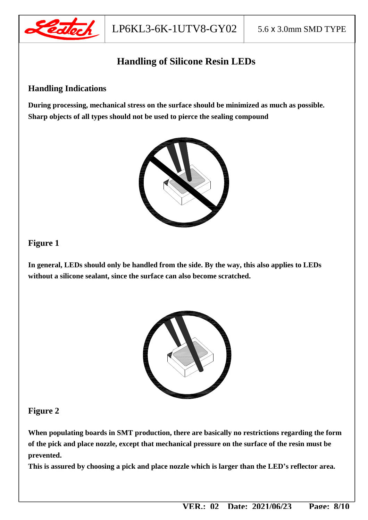

## **Handling of Silicone Resin LEDs**

#### **Handling Indications**

**During processing, mechanical stress on the surface should be minimized as much as possible. Sharp objects of all types should not be used to pierce the sealing compound** 



#### **Figure 1**

**In general, LEDs should only be handled from the side. By the way, this also applies to LEDs without a silicone sealant, since the surface can also become scratched.** 



#### **Figure 2**

**When populating boards in SMT production, there are basically no restrictions regarding the form of the pick and place nozzle, except that mechanical pressure on the surface of the resin must be prevented.** 

**This is assured by choosing a pick and place nozzle which is larger than the LED's reflector area.**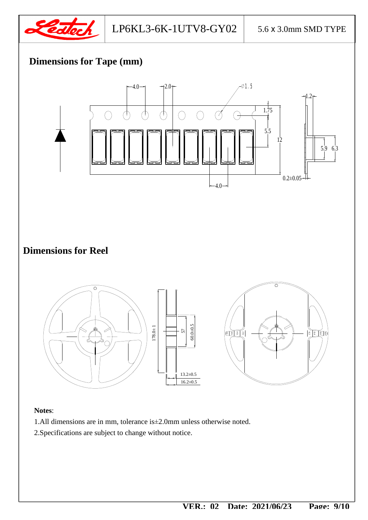

## **Dimensions for Tape (mm)**



#### **Notes**:

- 1.All dimensions are in mm, tolerance is±2.0mm unless otherwise noted.
- 2.Specifications are subject to change without notice.